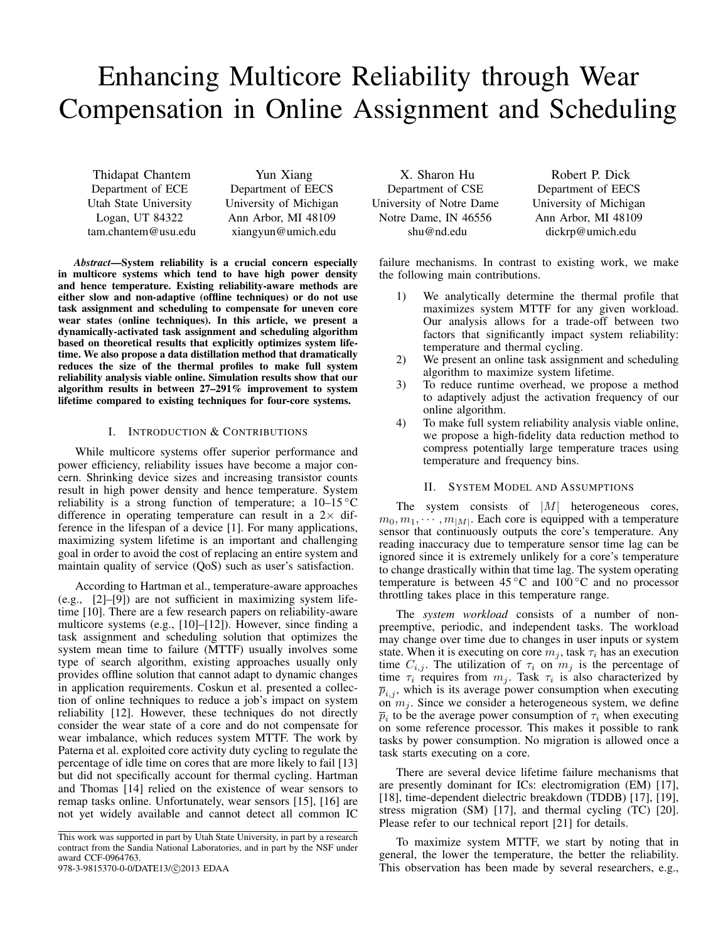# Enhancing Multicore Reliability through Wear Compensation in Online Assignment and Scheduling

Thidapat Chantem Department of ECE Utah State University Logan, UT 84322 tam.chantem@usu.edu

Yun Xiang Department of EECS University of Michigan Ann Arbor, MI 48109 xiangyun@umich.edu

*Abstract*—System reliability is a crucial concern especially in multicore systems which tend to have high power density and hence temperature. Existing reliability-aware methods are either slow and non-adaptive (offline techniques) or do not use task assignment and scheduling to compensate for uneven core wear states (online techniques). In this article, we present a dynamically-activated task assignment and scheduling algorithm based on theoretical results that explicitly optimizes system lifetime. We also propose a data distillation method that dramatically reduces the size of the thermal profiles to make full system reliability analysis viable online. Simulation results show that our algorithm results in between 27–291% improvement to system lifetime compared to existing techniques for four-core systems.

### I. INTRODUCTION & CONTRIBUTIONS

While multicore systems offer superior performance and power efficiency, reliability issues have become a major concern. Shrinking device sizes and increasing transistor counts result in high power density and hence temperature. System reliability is a strong function of temperature; a  $10-15\,^{\circ}\text{C}$ difference in operating temperature can result in a  $2 \times$  difference in the lifespan of a device [1]. For many applications, maximizing system lifetime is an important and challenging goal in order to avoid the cost of replacing an entire system and maintain quality of service (QoS) such as user's satisfaction.

According to Hartman et al., temperature-aware approaches (e.g., [2]–[9]) are not sufficient in maximizing system lifetime [10]. There are a few research papers on reliability-aware multicore systems (e.g., [10]–[12]). However, since finding a task assignment and scheduling solution that optimizes the system mean time to failure (MTTF) usually involves some type of search algorithm, existing approaches usually only provides offline solution that cannot adapt to dynamic changes in application requirements. Coskun et al. presented a collection of online techniques to reduce a job's impact on system reliability [12]. However, these techniques do not directly consider the wear state of a core and do not compensate for wear imbalance, which reduces system MTTF. The work by Paterna et al. exploited core activity duty cycling to regulate the percentage of idle time on cores that are more likely to fail [13] but did not specifically account for thermal cycling. Hartman and Thomas [14] relied on the existence of wear sensors to remap tasks online. Unfortunately, wear sensors [15], [16] are not yet widely available and cannot detect all common IC

978-3-9815370-0-0/DATE13/ @2013 EDAA

X. Sharon Hu Department of CSE University of Notre Dame Notre Dame, IN 46556 shu@nd.edu

Robert P. Dick Department of EECS University of Michigan Ann Arbor, MI 48109 dickrp@umich.edu

failure mechanisms. In contrast to existing work, we make the following main contributions.

- 1) We analytically determine the thermal profile that maximizes system MTTF for any given workload. Our analysis allows for a trade-off between two factors that significantly impact system reliability: temperature and thermal cycling.
- 2) We present an online task assignment and scheduling algorithm to maximize system lifetime.
- 3) To reduce runtime overhead, we propose a method to adaptively adjust the activation frequency of our online algorithm.
- 4) To make full system reliability analysis viable online, we propose a high-fidelity data reduction method to compress potentially large temperature traces using temperature and frequency bins.

# II. SYSTEM MODEL AND ASSUMPTIONS

The system consists of  $|M|$  heterogeneous cores,  $m_0, m_1, \cdots, m_{|M|}$ . Each core is equipped with a temperature sensor that continuously outputs the core's temperature. Any reading inaccuracy due to temperature sensor time lag can be ignored since it is extremely unlikely for a core's temperature to change drastically within that time lag. The system operating temperature is between  $45^{\circ}$ C and  $100^{\circ}$ C and no processor throttling takes place in this temperature range.

The *system workload* consists of a number of nonpreemptive, periodic, and independent tasks. The workload may change over time due to changes in user inputs or system state. When it is executing on core  $m_j$ , task  $\tau_i$  has an execution time  $C_{i,j}$ . The utilization of  $\tau_i$  on  $m_j$  is the percentage of time  $\tau_i$  requires from  $m_j$ . Task  $\tau_i$  is also characterized by  $\overline{p}_{i,j}$ , which is its average power consumption when executing on  $m_j$ . Since we consider a heterogeneous system, we define  $\overline{p}_i$  to be the average power consumption of  $\tau_i$  when executing on some reference processor. This makes it possible to rank tasks by power consumption. No migration is allowed once a task starts executing on a core.

There are several device lifetime failure mechanisms that are presently dominant for ICs: electromigration (EM) [17], [18], time-dependent dielectric breakdown (TDDB) [17], [19], stress migration (SM) [17], and thermal cycling (TC) [20]. Please refer to our technical report [21] for details.

To maximize system MTTF, we start by noting that in general, the lower the temperature, the better the reliability. This observation has been made by several researchers, e.g.,

This work was supported in part by Utah State University, in part by a research contract from the Sandia National Laboratories, and in part by the NSF under award CCF-0964763.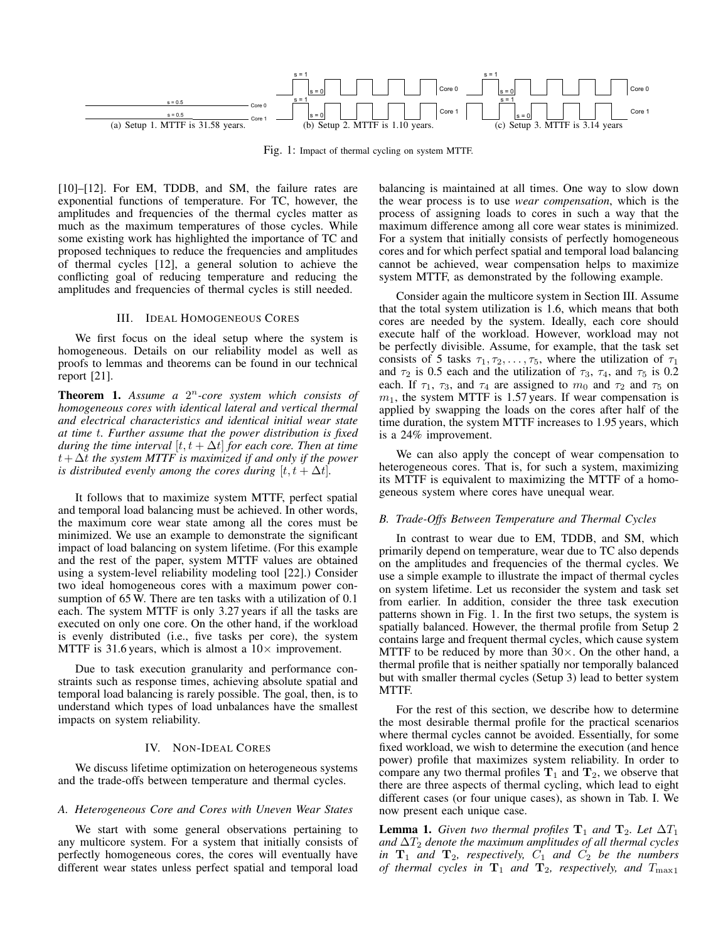

Fig. 1: Impact of thermal cycling on system MTTF.

[10]–[12]. For EM, TDDB, and SM, the failure rates are exponential functions of temperature. For TC, however, the amplitudes and frequencies of the thermal cycles matter as much as the maximum temperatures of those cycles. While some existing work has highlighted the importance of TC and proposed techniques to reduce the frequencies and amplitudes of thermal cycles [12], a general solution to achieve the conflicting goal of reducing temperature and reducing the amplitudes and frequencies of thermal cycles is still needed.

#### III. IDEAL HOMOGENEOUS CORES

We first focus on the ideal setup where the system is homogeneous. Details on our reliability model as well as proofs to lemmas and theorems can be found in our technical report [21].

Theorem 1. *Assume a* 2 <sup>n</sup>*-core system which consists of homogeneous cores with identical lateral and vertical thermal and electrical characteristics and identical initial wear state at time* t*. Further assume that the power distribution is fixed during the time interval*  $[t, t + \Delta t]$  *for each core. Then at time* t+∆t *the system MTTF is maximized if and only if the power is distributed evenly among the cores during*  $[t, t + \Delta t]$ *.* 

It follows that to maximize system MTTF, perfect spatial and temporal load balancing must be achieved. In other words, the maximum core wear state among all the cores must be minimized. We use an example to demonstrate the significant impact of load balancing on system lifetime. (For this example and the rest of the paper, system MTTF values are obtained using a system-level reliability modeling tool [22].) Consider two ideal homogeneous cores with a maximum power consumption of 65 W. There are ten tasks with a utilization of 0.1 each. The system MTTF is only 3.27 years if all the tasks are executed on only one core. On the other hand, if the workload is evenly distributed (i.e., five tasks per core), the system MTTF is 31.6 years, which is almost a  $10\times$  improvement.

Due to task execution granularity and performance constraints such as response times, achieving absolute spatial and temporal load balancing is rarely possible. The goal, then, is to understand which types of load unbalances have the smallest impacts on system reliability.

## IV. NON-IDEAL CORES

We discuss lifetime optimization on heterogeneous systems and the trade-offs between temperature and thermal cycles.

## *A. Heterogeneous Core and Cores with Uneven Wear States*

We start with some general observations pertaining to any multicore system. For a system that initially consists of perfectly homogeneous cores, the cores will eventually have different wear states unless perfect spatial and temporal load

balancing is maintained at all times. One way to slow down the wear process is to use *wear compensation*, which is the process of assigning loads to cores in such a way that the maximum difference among all core wear states is minimized. For a system that initially consists of perfectly homogeneous cores and for which perfect spatial and temporal load balancing cannot be achieved, wear compensation helps to maximize system MTTF, as demonstrated by the following example.

Consider again the multicore system in Section III. Assume that the total system utilization is 1.6, which means that both cores are needed by the system. Ideally, each core should execute half of the workload. However, workload may not be perfectly divisible. Assume, for example, that the task set consists of 5 tasks  $\tau_1, \tau_2, \ldots, \tau_5$ , where the utilization of  $\tau_1$ and  $\tau_2$  is 0.5 each and the utilization of  $\tau_3$ ,  $\tau_4$ , and  $\tau_5$  is 0.2 each. If  $\tau_1$ ,  $\tau_3$ , and  $\tau_4$  are assigned to  $m_0$  and  $\tau_2$  and  $\tau_5$  on  $m_1$ , the system MTTF is 1.57 years. If wear compensation is applied by swapping the loads on the cores after half of the time duration, the system MTTF increases to 1.95 years, which is a 24% improvement.

We can also apply the concept of wear compensation to heterogeneous cores. That is, for such a system, maximizing its MTTF is equivalent to maximizing the MTTF of a homogeneous system where cores have unequal wear.

# *B. Trade-Offs Between Temperature and Thermal Cycles*

In contrast to wear due to EM, TDDB, and SM, which primarily depend on temperature, wear due to TC also depends on the amplitudes and frequencies of the thermal cycles. We use a simple example to illustrate the impact of thermal cycles on system lifetime. Let us reconsider the system and task set from earlier. In addition, consider the three task execution patterns shown in Fig. 1. In the first two setups, the system is spatially balanced. However, the thermal profile from Setup 2 contains large and frequent thermal cycles, which cause system MTTF to be reduced by more than  $30\times$ . On the other hand, a thermal profile that is neither spatially nor temporally balanced but with smaller thermal cycles (Setup 3) lead to better system MTTF.

For the rest of this section, we describe how to determine the most desirable thermal profile for the practical scenarios where thermal cycles cannot be avoided. Essentially, for some fixed workload, we wish to determine the execution (and hence power) profile that maximizes system reliability. In order to compare any two thermal profiles  $T_1$  and  $T_2$ , we observe that there are three aspects of thermal cycling, which lead to eight different cases (or four unique cases), as shown in Tab. I. We now present each unique case.

**Lemma 1.** *Given two thermal profiles*  $\mathbf{T}_1$  *and*  $\mathbf{T}_2$ *. Let*  $\Delta T_1$ *and*  $\Delta T_2$  *denote the maximum amplitudes of all thermal cycles in*  $\mathbf{T}_1$  *and*  $\mathbf{T}_2$ *, respectively,*  $C_1$  *and*  $C_2$  *be the numbers of thermal cycles in*  $T_1$  *and*  $T_2$ *, respectively, and*  $T_{\text{max1}}$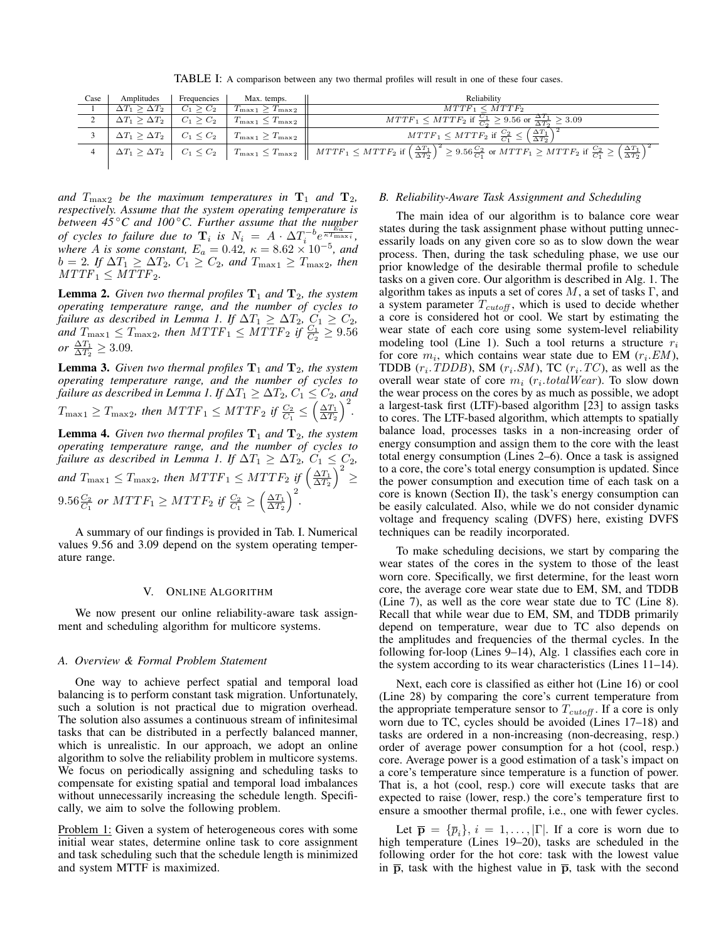TABLE I: A comparison between any two thermal profiles will result in one of these four cases.

| Case | Amplitudes                                    | Frequencies | Max. temps.                                                                              | Reliability                                                                                                                                                                                                                                                                                                                      |
|------|-----------------------------------------------|-------------|------------------------------------------------------------------------------------------|----------------------------------------------------------------------------------------------------------------------------------------------------------------------------------------------------------------------------------------------------------------------------------------------------------------------------------|
|      | $\Delta T_1 > \Delta T_2$                     | $C_1 > C_2$ | $T_{\max 1} \geq T_{\max 2}$                                                             | $MTTF_1 \leq MTTF_2$                                                                                                                                                                                                                                                                                                             |
|      | $\Delta T_1 \geq \Delta T_2$   $C_1 \geq C_2$ |             | $T_{\max_1} \leq T_{\max_2}$                                                             | $MTTF_1 \leq MTTF_2$ if $\frac{C_1}{C_2} \geq 9.56$ or $\frac{\Delta T_1}{\Delta T_2} \geq 3.09$                                                                                                                                                                                                                                 |
|      |                                               |             | $\Delta T_1 \geq \Delta T_2$   $C_1 \leq C_2$   $T_{\text{max }1} \geq T_{\text{max }2}$ | $MTTF_1 \leq MTTF_2$ if $\frac{C_2}{C_1} \leq \left(\frac{\Delta T_1}{\Delta T_2}\right)^2$                                                                                                                                                                                                                                      |
|      |                                               |             |                                                                                          | $\left \Delta T_1 \geq \Delta T_2\right $ $C_1 \leq C_2$ $\left \right.$ $T_{\text{max }1} \leq T_{\text{max }2}$ $\left \right $ $MTTF_1 \leq MTTF_2$ if $\left(\frac{\Delta T_1}{\Delta T_2}\right)^2 \geq 9.56\frac{C_2}{C_1}$ or $MTTF_1 \geq MTTF_2$ if $\frac{C_2}{C_1} \geq \left(\frac{\Delta T_1}{\Delta T_2}\right)^2$ |
|      |                                               |             |                                                                                          |                                                                                                                                                                                                                                                                                                                                  |

*and*  $T_{\text{max2}}$  *be the maximum temperatures in*  $T_1$  *and*  $T_2$ *, respectively. Assume that the system operating temperature is between 45* ◦*C and 100* ◦*C. Further assume that the number of cycles to failure due to*  $\mathbf{T}_i$  *is*  $N_i = A \cdot \Delta T_i^{-b} e^{\frac{i\pi E_a}{\pi T_{\text{max}}}i}$ , *where A is some constant,*  $E_a = 0.42$ ,  $\kappa = 8.62 \times 10^{-5}$ , and  $b = 2$ *. If*  $\Delta T_1 \geq \Delta T_2$ *,*  $C_1 \geq C_2$ *, and*  $T_{\max 1} \geq T_{\max 2}$ *, then*  $MTTF_1 \leq MTTF_2$ .

**Lemma 2.** *Given two thermal profiles*  $T_1$  *and*  $T_2$ *, the system operating temperature range, and the number of cycles to failure as described in Lemma 1. If*  $\Delta T_1 \geq \Delta T_2$ ,  $C_1 \geq C_2$ , and  $T_{\text{max1}} \leq T_{\text{max2}}$ , then  $MTTF_1 \leq MTTF_2$  if  $\frac{C_1}{C_2} \geq 9.56$ *or*  $\frac{\Delta T_1}{\Delta T_2} \geq 3.09$ .

**Lemma 3.** Given two thermal profiles  $T_1$  and  $T_2$ , the system *operating temperature range, and the number of cycles to failure as described in Lemma 1. If*  $\Delta T_1 \geq \Delta T_2$ *,*  $C_1 \leq C_2$ *, and*  $T_{\text{max1}} \geq T_{\text{max2}}$ , then  $MTTF_1 \leq MTTF_2$  if  $\frac{C_2}{C_1} \leq \left(\frac{\Delta T_1}{\Delta T_2}\right)^2$ .

**Lemma 4.** *Given two thermal profiles*  $T_1$  *and*  $T_2$ *, the system operating temperature range, and the number of cycles to failure as described in Lemma 1. If*  $\Delta T_1 \geq \Delta T_2$ ,  $C_1 \leq C_2$ ,  $\int_{\text{and}} T_{\text{max1}} \leq T_{\text{max2}}$ , then  $MTTF_1 \leq MTTF_2$  if  $\left(\frac{\Delta T_1}{\Delta T_2}\right)^2 \geq$  $9.56 \frac{C_2}{C_1}$  or  $MTTF_1 \geq MTTF_2$  if  $\frac{C_2}{C_1} \geq \left(\frac{\Delta T_1}{\Delta T_2}\right)^2$ .

A summary of our findings is provided in Tab. I. Numerical values 9.56 and 3.09 depend on the system operating temperature range.

#### V. ONLINE ALGORITHM

We now present our online reliability-aware task assignment and scheduling algorithm for multicore systems.

## *A. Overview & Formal Problem Statement*

One way to achieve perfect spatial and temporal load balancing is to perform constant task migration. Unfortunately, such a solution is not practical due to migration overhead. The solution also assumes a continuous stream of infinitesimal tasks that can be distributed in a perfectly balanced manner, which is unrealistic. In our approach, we adopt an online algorithm to solve the reliability problem in multicore systems. We focus on periodically assigning and scheduling tasks to compensate for existing spatial and temporal load imbalances without unnecessarily increasing the schedule length. Specifically, we aim to solve the following problem.

Problem 1: Given a system of heterogeneous cores with some initial wear states, determine online task to core assignment and task scheduling such that the schedule length is minimized and system MTTF is maximized.

# *B. Reliability-Aware Task Assignment and Scheduling*

The main idea of our algorithm is to balance core wear states during the task assignment phase without putting unnecessarily loads on any given core so as to slow down the wear process. Then, during the task scheduling phase, we use our prior knowledge of the desirable thermal profile to schedule tasks on a given core. Our algorithm is described in Alg. 1. The algorithm takes as inputs a set of cores  $M$ , a set of tasks  $\Gamma$ , and a system parameter  $T_{cutoff}$ , which is used to decide whether a core is considered hot or cool. We start by estimating the wear state of each core using some system-level reliability modeling tool (Line 1). Such a tool returns a structure  $r_i$ for core  $m_i$ , which contains wear state due to EM  $(r_i, EM)$ , TDDB  $(r_i, TDDB)$ , SM  $(r_i, SM)$ , TC  $(r_i, TC)$ , as well as the overall wear state of core  $m_i$  ( $r_i. totalWear$ ). To slow down the wear process on the cores by as much as possible, we adopt a largest-task first (LTF)-based algorithm [23] to assign tasks to cores. The LTF-based algorithm, which attempts to spatially balance load, processes tasks in a non-increasing order of energy consumption and assign them to the core with the least total energy consumption (Lines 2–6). Once a task is assigned to a core, the core's total energy consumption is updated. Since the power consumption and execution time of each task on a core is known (Section II), the task's energy consumption can be easily calculated. Also, while we do not consider dynamic voltage and frequency scaling (DVFS) here, existing DVFS techniques can be readily incorporated.

To make scheduling decisions, we start by comparing the wear states of the cores in the system to those of the least worn core. Specifically, we first determine, for the least worn core, the average core wear state due to EM, SM, and TDDB (Line 7), as well as the core wear state due to TC (Line 8). Recall that while wear due to EM, SM, and TDDB primarily depend on temperature, wear due to TC also depends on the amplitudes and frequencies of the thermal cycles. In the following for-loop (Lines 9–14), Alg. 1 classifies each core in the system according to its wear characteristics (Lines 11–14).

Next, each core is classified as either hot (Line 16) or cool (Line 28) by comparing the core's current temperature from the appropriate temperature sensor to  $T_{cutoff}$ . If a core is only worn due to TC, cycles should be avoided (Lines 17–18) and tasks are ordered in a non-increasing (non-decreasing, resp.) order of average power consumption for a hot (cool, resp.) core. Average power is a good estimation of a task's impact on a core's temperature since temperature is a function of power. That is, a hot (cool, resp.) core will execute tasks that are expected to raise (lower, resp.) the core's temperature first to ensure a smoother thermal profile, i.e., one with fewer cycles.

Let  $\bar{\mathbf{p}} = {\bar{p}_i}, i = 1, \dots, |\Gamma|$ . If a core is worn due to high temperature (Lines 19–20), tasks are scheduled in the following order for the hot core: task with the lowest value in  $\bar{p}$ , task with the highest value in  $\bar{p}$ , task with the second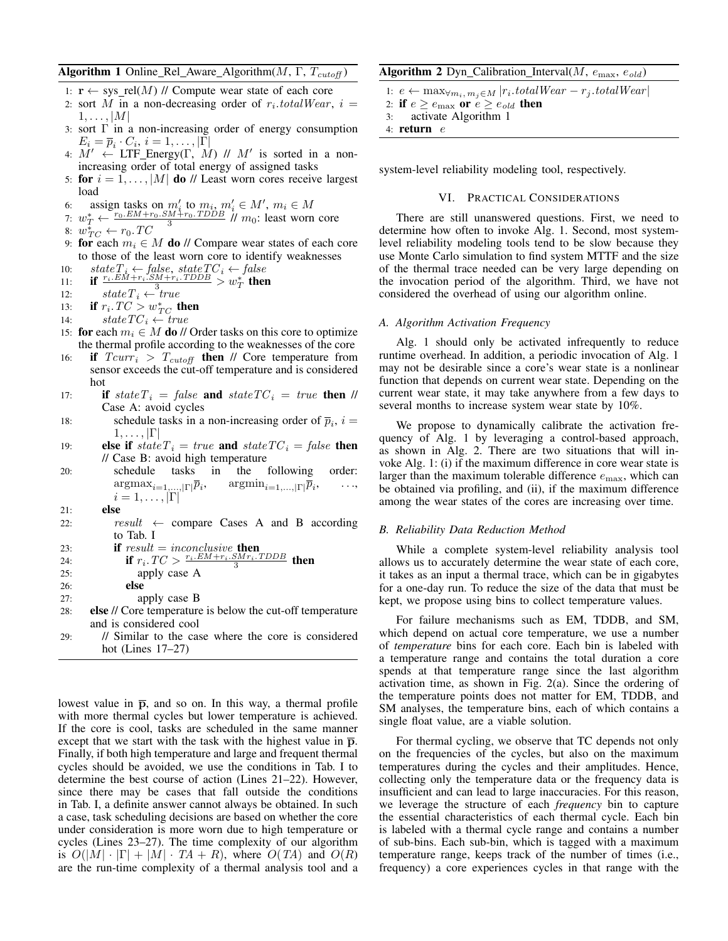# **Algorithm 1** Online\_Rel\_Aware\_Algorithm(M,  $\Gamma$ ,  $T_{cutoff}$ )

- 1:  $\mathbf{r} \leftarrow$  sys rel(M) // Compute wear state of each core
- 2: sort M in a non-decreasing order of  $r_i$  total Wear,  $i =$  $1, \ldots, |M|$
- 3: sort Γ in a non-increasing order of energy consumption  $E_i = \overline{p}_i \cdot C_i, i = 1, \ldots, |\Gamma|$
- 4:  $M' \leftarrow \text{LTF\_Energy}(\Gamma, M)$  //  $M'$  is sorted in a nonincreasing order of total energy of assigned tasks
- 5: for  $i = 1, \ldots, |M|$  do // Least worn cores receive largest load
- 6: assign tasks on  $m'_i$  to  $m_i$ ,  $m'_i \in M'$ ,  $m_i \in M$

7: 
$$
w_T^* \leftarrow \frac{r_0.EM + r_0.SM + r_0.TDDB}{T}
$$
 //  $m_0$ : least worn core

- 8:  $w_{TC}^* \leftarrow r_0$ .TC
- 9: for each  $m_i \in M$  do // Compare wear states of each core to those of the least worn core to identify weaknesses
- 10:  $stateT_i \leftarrow false, stateTC_i \leftarrow false$
- 11: if  $\frac{r_i.EM+r_i.SM+r_i.TDDB}{3} > w_T^*$  then
- 12:  $stateT_i \leftarrow true$
- 13: if  $r_i. TC > w_{TC}^*$  then
- 14:  $stateTC_i \leftarrow true$
- 15: for each  $m_i \in M$  do // Order tasks on this core to optimize the thermal profile according to the weaknesses of the core
- 16: if  $Tcurr_i > T_{cutoff}$  then // Core temperature from sensor exceeds the cut-off temperature and is considered hot
- 17: **if** state  $T_i$  = false **and** state  $TC_i$  = true **then** // Case A: avoid cycles
- 18: schedule tasks in a non-increasing order of  $\overline{p}_i$ ,  $i =$  $1, \ldots, |\Gamma|$
- 19: **else if**  $stateT_i = true$  and  $stateTC_i = false$  then // Case B: avoid high temperature
- 20: schedule tasks in the following order:  $\mathop{\mathrm{argmax}}_{i=1,\ldots,|\Gamma|} \overline{p}_i,$  $\mathop{\rm argmin}_{i=1,\ldots,|\Gamma|}\bar{p}_i,$ , . . .,  $i = 1, \ldots, |\Gamma|$
- 21: else
- 22:  $result \leftarrow compare Cases A and B according$ to Tab. I

```
23: if result = inconclusive then
24: if r_i. TC > \frac{r_i \cdot EM + r_i \cdot SMr_i \cdot TDDB}{3} then
25: apply case A
```

```
26: else
```
- 27: apply case B
- 28: else // Core temperature is below the cut-off temperature and is considered cool
- 29: // Similar to the case where the core is considered hot (Lines 17–27)

lowest value in  $\bar{p}$ , and so on. In this way, a thermal profile with more thermal cycles but lower temperature is achieved. If the core is cool, tasks are scheduled in the same manner except that we start with the task with the highest value in  $\bar{p}$ . Finally, if both high temperature and large and frequent thermal cycles should be avoided, we use the conditions in Tab. I to determine the best course of action (Lines 21–22). However, since there may be cases that fall outside the conditions in Tab. I, a definite answer cannot always be obtained. In such a case, task scheduling decisions are based on whether the core under consideration is more worn due to high temperature or cycles (Lines 23–27). The time complexity of our algorithm is  $O(|M| \cdot |\Gamma| + |M| \cdot TA + R)$ , where  $O(TA)$  and  $O(R)$ are the run-time complexity of a thermal analysis tool and a

# Algorithm 2 Dyn\_Calibration\_Interval(M,  $e_{\text{max}}$ ,  $e_{\text{old}}$ )

1:  $e \leftarrow \max_{\forall m_i, m_j \in M} |r_i.totalWear - r_j.totalWear|$ 

2: if  $e \ge e_{\text{max}}$  or  $e \ge e_{\text{old}}$  then

3: activate Algorithm 1

4: return e

system-level reliability modeling tool, respectively.

## VI. PRACTICAL CONSIDERATIONS

There are still unanswered questions. First, we need to determine how often to invoke Alg. 1. Second, most systemlevel reliability modeling tools tend to be slow because they use Monte Carlo simulation to find system MTTF and the size of the thermal trace needed can be very large depending on the invocation period of the algorithm. Third, we have not considered the overhead of using our algorithm online.

## *A. Algorithm Activation Frequency*

Alg. 1 should only be activated infrequently to reduce runtime overhead. In addition, a periodic invocation of Alg. 1 may not be desirable since a core's wear state is a nonlinear function that depends on current wear state. Depending on the current wear state, it may take anywhere from a few days to several months to increase system wear state by 10%.

We propose to dynamically calibrate the activation frequency of Alg. 1 by leveraging a control-based approach, as shown in Alg. 2. There are two situations that will invoke Alg. 1: (i) if the maximum difference in core wear state is larger than the maximum tolerable difference  $e_{\text{max}}$ , which can be obtained via profiling, and (ii), if the maximum difference among the wear states of the cores are increasing over time.

# *B. Reliability Data Reduction Method*

While a complete system-level reliability analysis tool allows us to accurately determine the wear state of each core, it takes as an input a thermal trace, which can be in gigabytes for a one-day run. To reduce the size of the data that must be kept, we propose using bins to collect temperature values.

For failure mechanisms such as EM, TDDB, and SM, which depend on actual core temperature, we use a number of *temperature* bins for each core. Each bin is labeled with a temperature range and contains the total duration a core spends at that temperature range since the last algorithm activation time, as shown in Fig. 2(a). Since the ordering of the temperature points does not matter for EM, TDDB, and SM analyses, the temperature bins, each of which contains a single float value, are a viable solution.

For thermal cycling, we observe that TC depends not only on the frequencies of the cycles, but also on the maximum temperatures during the cycles and their amplitudes. Hence, collecting only the temperature data or the frequency data is insufficient and can lead to large inaccuracies. For this reason, we leverage the structure of each *frequency* bin to capture the essential characteristics of each thermal cycle. Each bin is labeled with a thermal cycle range and contains a number of sub-bins. Each sub-bin, which is tagged with a maximum temperature range, keeps track of the number of times (i.e., frequency) a core experiences cycles in that range with the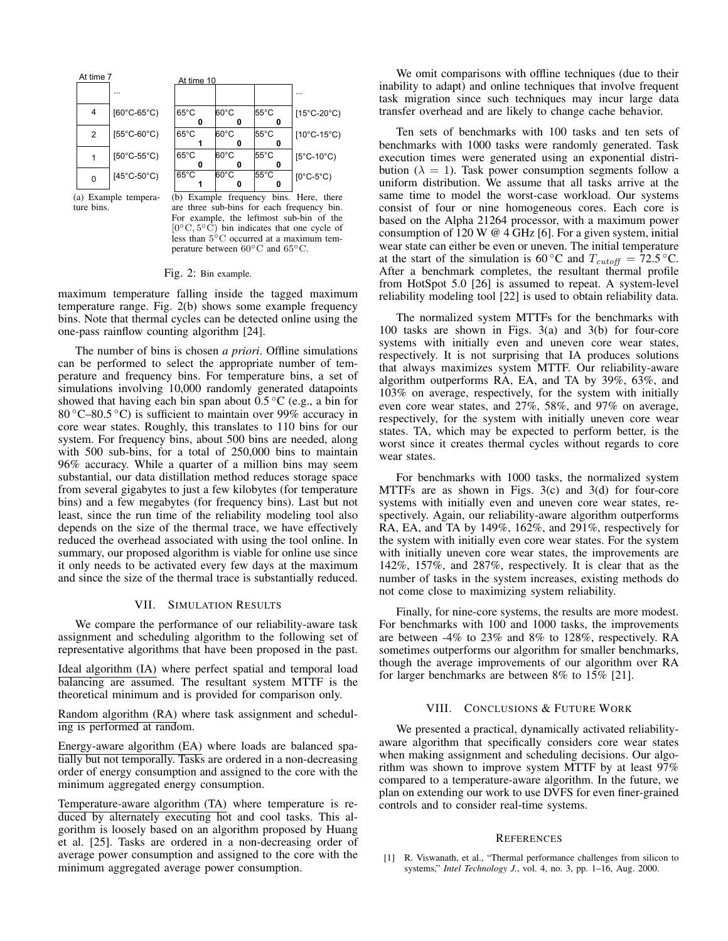

ture bins.

are three sub-bins for each frequency bin. For example, the leftmost sub-bin of the  $[0^{\circ}\text{C}, 5^{\circ}\text{C})$  bin indicates that one cycle of less than 5 ◦C occurred at a maximum temperature between 60◦C and 65◦C.

## Fig. 2: Bin example.

maximum temperature falling inside the tagged maximum temperature range. Fig. 2(b) shows some example frequency bins. Note that thermal cycles can be detected online using the one-pass rainflow counting algorithm [24].

The number of bins is chosen *a priori*. Offline simulations can be performed to select the appropriate number of temperature and frequency bins. For temperature bins, a set of simulations involving 10,000 randomly generated datapoints showed that having each bin span about  $0.5\,^{\circ}\text{C}$  (e.g., a bin for  $80^{\circ}$ C–80.5 °C) is sufficient to maintain over 99% accuracy in core wear states. Roughly, this translates to 110 bins for our system. For frequency bins, about 500 bins are needed, along with 500 sub-bins, for a total of 250,000 bins to maintain 96% accuracy. While a quarter of a million bins may seem substantial, our data distillation method reduces storage space from several gigabytes to just a few kilobytes (for temperature bins) and a few megabytes (for frequency bins). Last but not least, since the run time of the reliability modeling tool also depends on the size of the thermal trace, we have effectively reduced the overhead associated with using the tool online. In summary, our proposed algorithm is viable for online use since it only needs to be activated every few days at the maximum and since the size of the thermal trace is substantially reduced.

## VII. SIMULATION RESULTS

We compare the performance of our reliability-aware task assignment and scheduling algorithm to the following set of representative algorithms that have been proposed in the past.

Ideal algorithm (IA) where perfect spatial and temporal load balancing are assumed. The resultant system MTTF is the theoretical minimum and is provided for comparison only.

Random algorithm (RA) where task assignment and scheduling is performed at random.

Energy-aware algorithm (EA) where loads are balanced spatially but not temporally. Tasks are ordered in a non-decreasing order of energy consumption and assigned to the core with the minimum aggregated energy consumption.

Temperature-aware algorithm (TA) where temperature is reduced by alternately executing hot and cool tasks. This algorithm is loosely based on an algorithm proposed by Huang et al. [25]. Tasks are ordered in a non-decreasing order of average power consumption and assigned to the core with the minimum aggregated average power consumption.

We omit comparisons with offline techniques (due to their inability to adapt) and online techniques that involve frequent task migration since such techniques may incur large data transfer overhead and are likely to change cache behavior.

Ten sets of benchmarks with 100 tasks and ten sets of benchmarks with 1000 tasks were randomly generated. Task execution times were generated using an exponential distribution ( $\lambda = 1$ ). Task power consumption segments follow a uniform distribution. We assume that all tasks arrive at the same time to model the worst-case workload. Our systems consist of four or nine homogeneous cores. Each core is based on the Alpha 21264 processor, with a maximum power consumption of 120 W @ 4 GHz [6]. For a given system, initial wear state can either be even or uneven. The initial temperature at the start of the simulation is 60 °C and  $T_{cutoff} = 72.5$  °C. After a benchmark completes, the resultant thermal profile from HotSpot 5.0 [26] is assumed to repeat. A system-level reliability modeling tool [22] is used to obtain reliability data.

The normalized system MTTFs for the benchmarks with 100 tasks are shown in Figs. 3(a) and 3(b) for four-core systems with initially even and uneven core wear states, respectively. It is not surprising that IA produces solutions that always maximizes system MTTF. Our reliability-aware algorithm outperforms RA, EA, and TA by 39%, 63%, and 103% on average, respectively, for the system with initially even core wear states, and 27%, 58%, and 97% on average, respectively, for the system with initially uneven core wear states. TA, which may be expected to perform better, is the worst since it creates thermal cycles without regards to core wear states.

For benchmarks with 1000 tasks, the normalized system MTTFs are as shown in Figs. 3(c) and 3(d) for four-core systems with initially even and uneven core wear states, respectively. Again, our reliability-aware algorithm outperforms RA, EA, and TA by 149%, 162%, and 291%, respectively for the system with initially even core wear states. For the system with initially uneven core wear states, the improvements are 142%, 157%, and 287%, respectively. It is clear that as the number of tasks in the system increases, existing methods do not come close to maximizing system reliability.

Finally, for nine-core systems, the results are more modest. For benchmarks with 100 and 1000 tasks, the improvements are between -4% to 23% and 8% to 128%, respectively. RA sometimes outperforms our algorithm for smaller benchmarks, though the average improvements of our algorithm over RA for larger benchmarks are between 8% to 15% [21].

# VIII. CONCLUSIONS & FUTURE WORK

We presented a practical, dynamically activated reliabilityaware algorithm that specifically considers core wear states when making assignment and scheduling decisions. Our algorithm was shown to improve system MTTF by at least 97% compared to a temperature-aware algorithm. In the future, we plan on extending our work to use DVFS for even finer-grained controls and to consider real-time systems.

## **REFERENCES**

[1] R. Viswanath, et al., "Thermal performance challenges from silicon to systems," *Intel Technology J.*, vol. 4, no. 3, pp. 1–16, Aug. 2000.